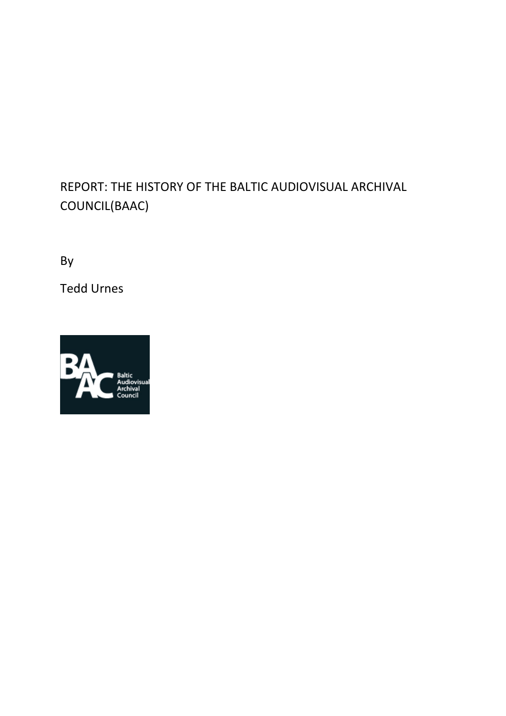# REPORT: THE HISTORY OF THE BALTIC AUDIOVISUAL ARCHIVAL COUNCIL(BAAC)

By

Tedd Urnes

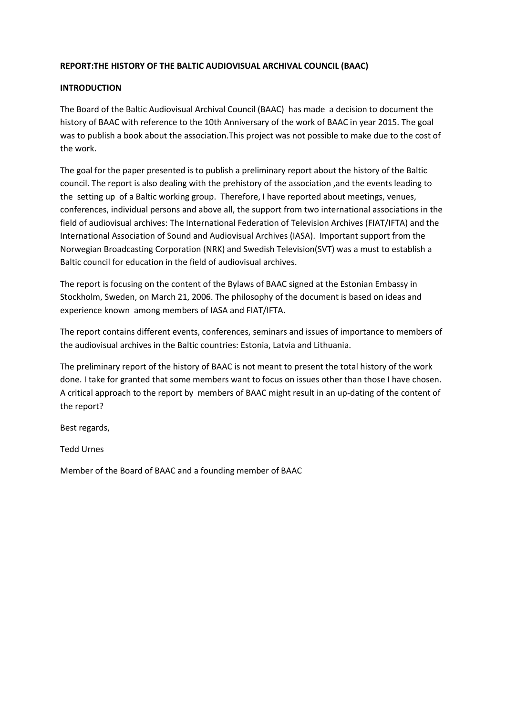# **REPORT:THE HISTORY OF THE BALTIC AUDIOVISUAL ARCHIVAL COUNCIL (BAAC)**

## **INTRODUCTION**

The Board of the Baltic Audiovisual Archival Council (BAAC) has made a decision to document the history of BAAC with reference to the 10th Anniversary of the work of BAAC in year 2015. The goal was to publish a book about the association.This project was not possible to make due to the cost of the work.

The goal for the paper presented is to publish a preliminary report about the history of the Baltic council. The report is also dealing with the prehistory of the association ,and the events leading to the setting up of a Baltic working group. Therefore, I have reported about meetings, venues, conferences, individual persons and above all, the support from two international associations in the field of audiovisual archives: The International Federation of Television Archives (FIAT/IFTA) and the International Association of Sound and Audiovisual Archives (IASA). Important support from the Norwegian Broadcasting Corporation (NRK) and Swedish Television(SVT) was a must to establish a Baltic council for education in the field of audiovisual archives.

The report is focusing on the content of the Bylaws of BAAC signed at the Estonian Embassy in Stockholm, Sweden, on March 21, 2006. The philosophy of the document is based on ideas and experience known among members of IASA and FIAT/IFTA.

The report contains different events, conferences, seminars and issues of importance to members of the audiovisual archives in the Baltic countries: Estonia, Latvia and Lithuania.

The preliminary report of the history of BAAC is not meant to present the total history of the work done. I take for granted that some members want to focus on issues other than those I have chosen. A critical approach to the report by members of BAAC might result in an up-dating of the content of the report?

Best regards,

Tedd Urnes

Member of the Board of BAAC and a founding member of BAAC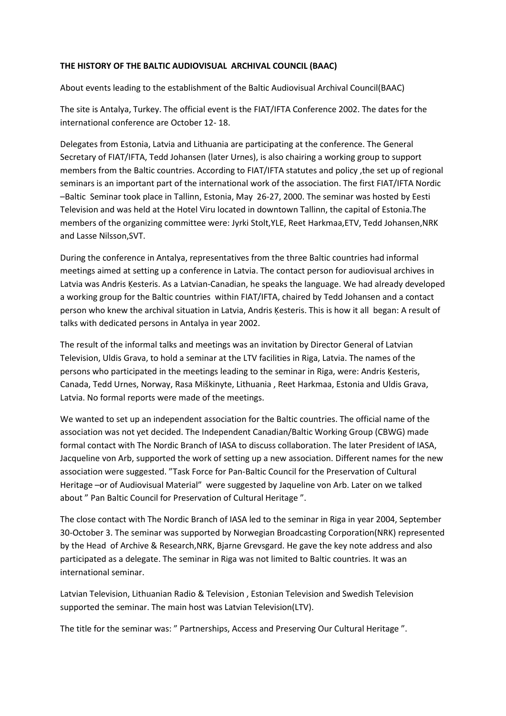## **THE HISTORY OF THE BALTIC AUDIOVISUAL ARCHIVAL COUNCIL (BAAC)**

About events leading to the establishment of the Baltic Audiovisual Archival Council(BAAC)

The site is Antalya, Turkey. The official event is the FIAT/IFTA Conference 2002. The dates for the international conference are October 12- 18.

Delegates from Estonia, Latvia and Lithuania are participating at the conference. The General Secretary of FIAT/IFTA, Tedd Johansen (later Urnes), is also chairing a working group to support members from the Baltic countries. According to FIAT/IFTA statutes and policy ,the set up of regional seminars is an important part of the international work of the association. The first FIAT/IFTA Nordic –Baltic Seminar took place in Tallinn, Estonia, May 26-27, 2000. The seminar was hosted by Eesti Television and was held at the Hotel Viru located in downtown Tallinn, the capital of Estonia.The members of the organizing committee were: Jyrki Stolt,YLE, Reet Harkmaa,ETV, Tedd Johansen,NRK and Lasse Nilsson,SVT.

During the conference in Antalya, representatives from the three Baltic countries had informal meetings aimed at setting up a conference in Latvia. The contact person for audiovisual archives in Latvia was Andris Ķesteris. As a Latvian-Canadian, he speaks the language. We had already developed a working group for the Baltic countries within FIAT/IFTA, chaired by Tedd Johansen and a contact person who knew the archival situation in Latvia, Andris Ķesteris. This is how it all began: A result of talks with dedicated persons in Antalya in year 2002.

The result of the informal talks and meetings was an invitation by Director General of Latvian Television, Uldis Grava, to hold a seminar at the LTV facilities in Riga, Latvia. The names of the persons who participated in the meetings leading to the seminar in Riga, were: Andris Ķesteris, Canada, Tedd Urnes, Norway, Rasa Miškinyte, Lithuania , Reet Harkmaa, Estonia and Uldis Grava, Latvia. No formal reports were made of the meetings.

We wanted to set up an independent association for the Baltic countries. The official name of the association was not yet decided. The Independent Canadian/Baltic Working Group (CBWG) made formal contact with The Nordic Branch of IASA to discuss collaboration. The later President of IASA, Jacqueline von Arb, supported the work of setting up a new association. Different names for the new association were suggested. "Task Force for Pan-Baltic Council for the Preservation of Cultural Heritage –or of Audiovisual Material" were suggested by Jaqueline von Arb. Later on we talked about " Pan Baltic Council for Preservation of Cultural Heritage ".

The close contact with The Nordic Branch of IASA led to the seminar in Riga in year 2004, September 30-October 3. The seminar was supported by Norwegian Broadcasting Corporation(NRK) represented by the Head of Archive & Research,NRK, Bjarne Grevsgard. He gave the key note address and also participated as a delegate. The seminar in Riga was not limited to Baltic countries. It was an international seminar.

Latvian Television, Lithuanian Radio & Television , Estonian Television and Swedish Television supported the seminar. The main host was Latvian Television(LTV).

The title for the seminar was: " Partnerships, Access and Preserving Our Cultural Heritage ".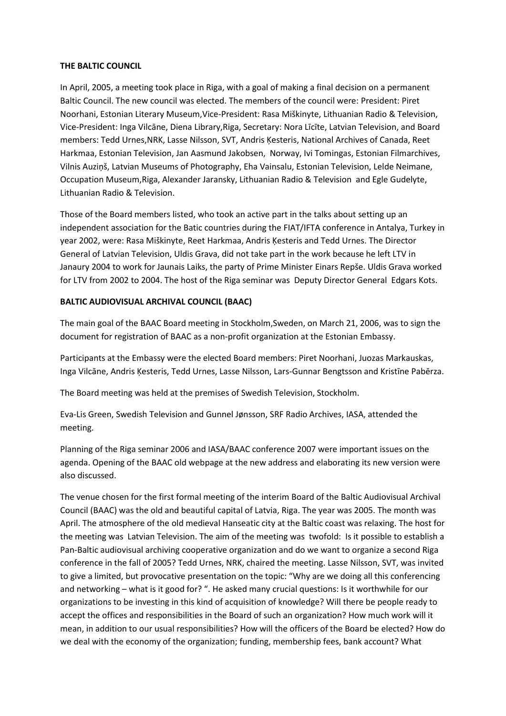## **THE BALTIC COUNCIL**

In April, 2005, a meeting took place in Riga, with a goal of making a final decision on a permanent Baltic Council. The new council was elected. The members of the council were: President: Piret Noorhani, Estonian Literary Museum,Vice-President: Rasa Miškinyte, Lithuanian Radio & Television, Vice-President: Inga Vilcāne, Diena Library,Riga, Secretary: Nora Līcīte, Latvian Television, and Board members: Tedd Urnes,NRK, Lasse Nilsson, SVT, Andris Ķesteris, National Archives of Canada, Reet Harkmaa, Estonian Television, Jan Aasmund Jakobsen, Norway, Ivi Tomingas, Estonian Filmarchives, Vilnis Auziņš, Latvian Museums of Photography, Eha Vainsalu, Estonian Television, Lelde Neimane, Occupation Museum,Riga, Alexander Jaransky, Lithuanian Radio & Television and Egle Gudelyte, Lithuanian Radio & Television.

Those of the Board members listed, who took an active part in the talks about setting up an independent association for the Batic countries during the FIAT/IFTA conference in Antalya, Turkey in year 2002, were: Rasa Miškinyte, Reet Harkmaa, Andris Ķesteris and Tedd Urnes. The Director General of Latvian Television, Uldis Grava, did not take part in the work because he left LTV in Janaury 2004 to work for Jaunais Laiks, the party of Prime Minister Einars Repše. Uldis Grava worked for LTV from 2002 to 2004. The host of the Riga seminar was Deputy Director General Edgars Kots.

# **BALTIC AUDIOVISUAL ARCHIVAL COUNCIL (BAAC)**

The main goal of the BAAC Board meeting in Stockholm,Sweden, on March 21, 2006, was to sign the document for registration of BAAC as a non-profit organization at the Estonian Embassy.

Participants at the Embassy were the elected Board members: Piret Noorhani, Juozas Markauskas, Inga Vilcāne, Andris Ķesteris, Tedd Urnes, Lasse Nilsson, Lars-Gunnar Bengtsson and Kristīne Pabērza.

The Board meeting was held at the premises of Swedish Television, Stockholm.

Eva-Lis Green, Swedish Television and Gunnel Jønsson, SRF Radio Archives, IASA, attended the meeting.

Planning of the Riga seminar 2006 and IASA/BAAC conference 2007 were important issues on the agenda. Opening of the BAAC old webpage at the new address and elaborating its new version were also discussed.

The venue chosen for the first formal meeting of the interim Board of the Baltic Audiovisual Archival Council (BAAC) was the old and beautiful capital of Latvia, Riga. The year was 2005. The month was April. The atmosphere of the old medieval Hanseatic city at the Baltic coast was relaxing. The host for the meeting was Latvian Television. The aim of the meeting was twofold: Is it possible to establish a Pan-Baltic audiovisual archiving cooperative organization and do we want to organize a second Riga conference in the fall of 2005? Tedd Urnes, NRK, chaired the meeting. Lasse Nilsson, SVT, was invited to give a limited, but provocative presentation on the topic: "Why are we doing all this conferencing and networking – what is it good for? ". He asked many crucial questions: Is it worthwhile for our organizations to be investing in this kind of acquisition of knowledge? Will there be people ready to accept the offices and responsibilities in the Board of such an organization? How much work will it mean, in addition to our usual responsibilities? How will the officers of the Board be elected? How do we deal with the economy of the organization; funding, membership fees, bank account? What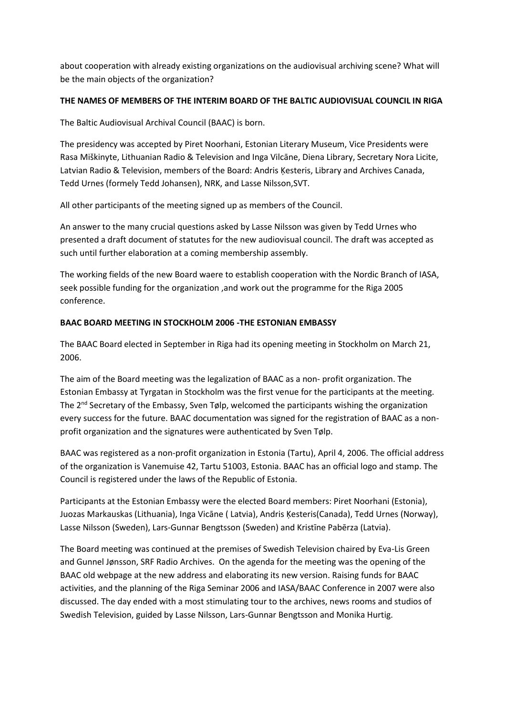about cooperation with already existing organizations on the audiovisual archiving scene? What will be the main objects of the organization?

# **THE NAMES OF MEMBERS OF THE INTERIM BOARD OF THE BALTIC AUDIOVISUAL COUNCIL IN RIGA**

The Baltic Audiovisual Archival Council (BAAC) is born.

The presidency was accepted by Piret Noorhani, Estonian Literary Museum, Vice Presidents were Rasa Miškinyte, Lithuanian Radio & Television and Inga Vilcāne, Diena Library, Secretary Nora Licite, Latvian Radio & Television, members of the Board: Andris Ķesteris, Library and Archives Canada, Tedd Urnes (formely Tedd Johansen), NRK, and Lasse Nilsson,SVT.

All other participants of the meeting signed up as members of the Council.

An answer to the many crucial questions asked by Lasse Nilsson was given by Tedd Urnes who presented a draft document of statutes for the new audiovisual council. The draft was accepted as such until further elaboration at a coming membership assembly.

The working fields of the new Board waere to establish cooperation with the Nordic Branch of IASA, seek possible funding for the organization ,and work out the programme for the Riga 2005 conference.

# **BAAC BOARD MEETING IN STOCKHOLM 2006 -THE ESTONIAN EMBASSY**

The BAAC Board elected in September in Riga had its opening meeting in Stockholm on March 21, 2006.

The aim of the Board meeting was the legalization of BAAC as a non- profit organization. The Estonian Embassy at Tyrgatan in Stockholm was the first venue for the participants at the meeting. The  $2^{nd}$  Secretary of the Embassy, Sven Tølp, welcomed the participants wishing the organization every success for the future. BAAC documentation was signed for the registration of BAAC as a nonprofit organization and the signatures were authenticated by Sven Tølp.

BAAC was registered as a non-profit organization in Estonia (Tartu), April 4, 2006. The official address of the organization is Vanemuise 42, Tartu 51003, Estonia. BAAC has an official logo and stamp. The Council is registered under the laws of the Republic of Estonia.

Participants at the Estonian Embassy were the elected Board members: Piret Noorhani (Estonia), Juozas Markauskas (Lithuania), Inga Vicāne ( Latvia), Andris Ķesteris(Canada), Tedd Urnes (Norway), Lasse Nilsson (Sweden), Lars-Gunnar Bengtsson (Sweden) and Kristīne Pabērza (Latvia).

The Board meeting was continued at the premises of Swedish Television chaired by Eva-Lis Green and Gunnel Jønsson, SRF Radio Archives. On the agenda for the meeting was the opening of the BAAC old webpage at the new address and elaborating its new version. Raising funds for BAAC activities, and the planning of the Riga Seminar 2006 and IASA/BAAC Conference in 2007 were also discussed. The day ended with a most stimulating tour to the archives, news rooms and studios of Swedish Television, guided by Lasse Nilsson, Lars-Gunnar Bengtsson and Monika Hurtig.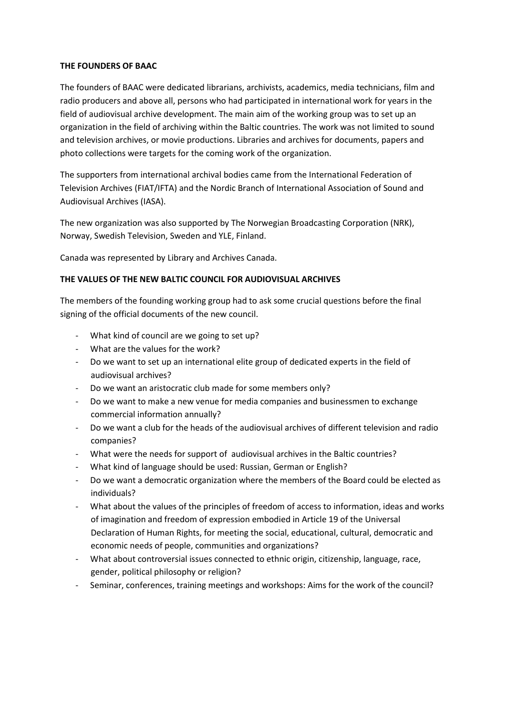## **THE FOUNDERS OF BAAC**

The founders of BAAC were dedicated librarians, archivists, academics, media technicians, film and radio producers and above all, persons who had participated in international work for years in the field of audiovisual archive development. The main aim of the working group was to set up an organization in the field of archiving within the Baltic countries. The work was not limited to sound and television archives, or movie productions. Libraries and archives for documents, papers and photo collections were targets for the coming work of the organization.

The supporters from international archival bodies came from the International Federation of Television Archives (FIAT/IFTA) and the Nordic Branch of International Association of Sound and Audiovisual Archives (IASA).

The new organization was also supported by The Norwegian Broadcasting Corporation (NRK), Norway, Swedish Television, Sweden and YLE, Finland.

Canada was represented by Library and Archives Canada.

# **THE VALUES OF THE NEW BALTIC COUNCIL FOR AUDIOVISUAL ARCHIVES**

The members of the founding working group had to ask some crucial questions before the final signing of the official documents of the new council.

- What kind of council are we going to set up?
- What are the values for the work?
- Do we want to set up an international elite group of dedicated experts in the field of audiovisual archives?
- Do we want an aristocratic club made for some members only?
- Do we want to make a new venue for media companies and businessmen to exchange commercial information annually?
- Do we want a club for the heads of the audiovisual archives of different television and radio companies?
- What were the needs for support of audiovisual archives in the Baltic countries?
- What kind of language should be used: Russian, German or English?
- Do we want a democratic organization where the members of the Board could be elected as individuals?
- What about the values of the principles of freedom of access to information, ideas and works of imagination and freedom of expression embodied in Article 19 of the Universal Declaration of Human Rights, for meeting the social, educational, cultural, democratic and economic needs of people, communities and organizations?
- What about controversial issues connected to ethnic origin, citizenship, language, race, gender, political philosophy or religion?
- Seminar, conferences, training meetings and workshops: Aims for the work of the council?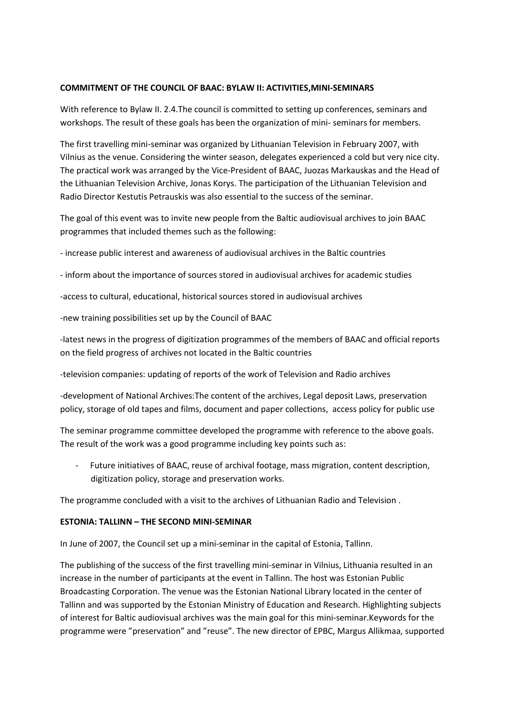#### **COMMITMENT OF THE COUNCIL OF BAAC: BYLAW II: ACTIVITIES,MINI-SEMINARS**

With reference to Bylaw II. 2.4.The council is committed to setting up conferences, seminars and workshops. The result of these goals has been the organization of mini- seminars for members.

The first travelling mini-seminar was organized by Lithuanian Television in February 2007, with Vilnius as the venue. Considering the winter season, delegates experienced a cold but very nice city. The practical work was arranged by the Vice-President of BAAC, Juozas Markauskas and the Head of the Lithuanian Television Archive, Jonas Korys. The participation of the Lithuanian Television and Radio Director Kestutis Petrauskis was also essential to the success of the seminar.

The goal of this event was to invite new people from the Baltic audiovisual archives to join BAAC programmes that included themes such as the following:

- increase public interest and awareness of audiovisual archives in the Baltic countries

- inform about the importance of sources stored in audiovisual archives for academic studies

-access to cultural, educational, historical sources stored in audiovisual archives

-new training possibilities set up by the Council of BAAC

-latest news in the progress of digitization programmes of the members of BAAC and official reports on the field progress of archives not located in the Baltic countries

-television companies: updating of reports of the work of Television and Radio archives

-development of National Archives:The content of the archives, Legal deposit Laws, preservation policy, storage of old tapes and films, document and paper collections, access policy for public use

The seminar programme committee developed the programme with reference to the above goals. The result of the work was a good programme including key points such as:

- Future initiatives of BAAC, reuse of archival footage, mass migration, content description, digitization policy, storage and preservation works.

The programme concluded with a visit to the archives of Lithuanian Radio and Television .

#### **ESTONIA: TALLINN – THE SECOND MINI-SEMINAR**

In June of 2007, the Council set up a mini-seminar in the capital of Estonia, Tallinn.

The publishing of the success of the first travelling mini-seminar in Vilnius, Lithuania resulted in an increase in the number of participants at the event in Tallinn. The host was Estonian Public Broadcasting Corporation. The venue was the Estonian National Library located in the center of Tallinn and was supported by the Estonian Ministry of Education and Research. Highlighting subjects of interest for Baltic audiovisual archives was the main goal for this mini-seminar.Keywords for the programme were "preservation" and "reuse". The new director of EPBC, Margus Allikmaa, supported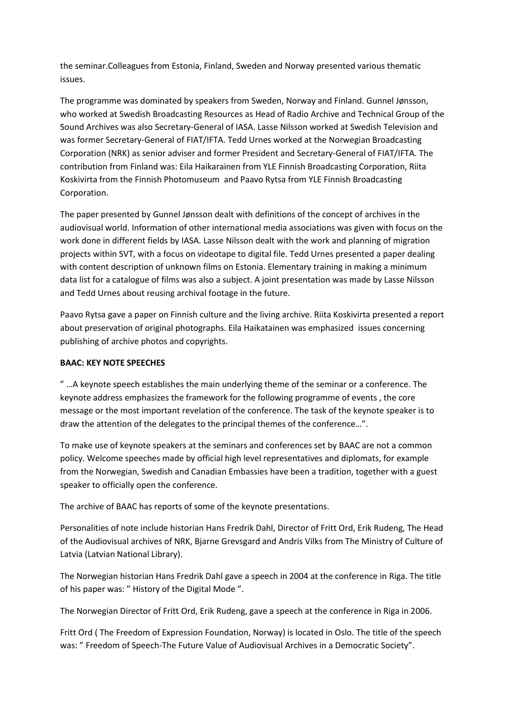the seminar.Colleagues from Estonia, Finland, Sweden and Norway presented various thematic issues.

The programme was dominated by speakers from Sweden, Norway and Finland. Gunnel Jønsson, who worked at Swedish Broadcasting Resources as Head of Radio Archive and Technical Group of the Sound Archives was also Secretary-General of IASA. Lasse Nilsson worked at Swedish Television and was former Secretary-General of FIAT/IFTA. Tedd Urnes worked at the Norwegian Broadcasting Corporation (NRK) as senior adviser and former President and Secretary-General of FIAT/IFTA. The contribution from Finland was: Eila Haikarainen from YLE Finnish Broadcasting Corporation, Riita Koskivirta from the Finnish Photomuseum and Paavo Rytsa from YLE Finnish Broadcasting Corporation.

The paper presented by Gunnel Jønsson dealt with definitions of the concept of archives in the audiovisual world. Information of other international media associations was given with focus on the work done in different fields by IASA. Lasse Nilsson dealt with the work and planning of migration projects within SVT, with a focus on videotape to digital file. Tedd Urnes presented a paper dealing with content description of unknown films on Estonia. Elementary training in making a minimum data list for a catalogue of films was also a subject. A joint presentation was made by Lasse Nilsson and Tedd Urnes about reusing archival footage in the future.

Paavo Rytsa gave a paper on Finnish culture and the living archive. Riita Koskivirta presented a report about preservation of original photographs. Eila Haikatainen was emphasized issues concerning publishing of archive photos and copyrights.

## **BAAC: KEY NOTE SPEECHES**

" …A keynote speech establishes the main underlying theme of the seminar or a conference. The keynote address emphasizes the framework for the following programme of events , the core message or the most important revelation of the conference. The task of the keynote speaker is to draw the attention of the delegates to the principal themes of the conference…".

To make use of keynote speakers at the seminars and conferences set by BAAC are not a common policy. Welcome speeches made by official high level representatives and diplomats, for example from the Norwegian, Swedish and Canadian Embassies have been a tradition, together with a guest speaker to officially open the conference.

The archive of BAAC has reports of some of the keynote presentations.

Personalities of note include historian Hans Fredrik Dahl, Director of Fritt Ord, Erik Rudeng, The Head of the Audiovisual archives of NRK, Bjarne Grevsgard and Andris Vilks from The Ministry of Culture of Latvia (Latvian National Library).

The Norwegian historian Hans Fredrik Dahl gave a speech in 2004 at the conference in Riga. The title of his paper was: " History of the Digital Mode ".

The Norwegian Director of Fritt Ord, Erik Rudeng, gave a speech at the conference in Riga in 2006.

Fritt Ord ( The Freedom of Expression Foundation, Norway) is located in Oslo. The title of the speech was: " Freedom of Speech-The Future Value of Audiovisual Archives in a Democratic Society".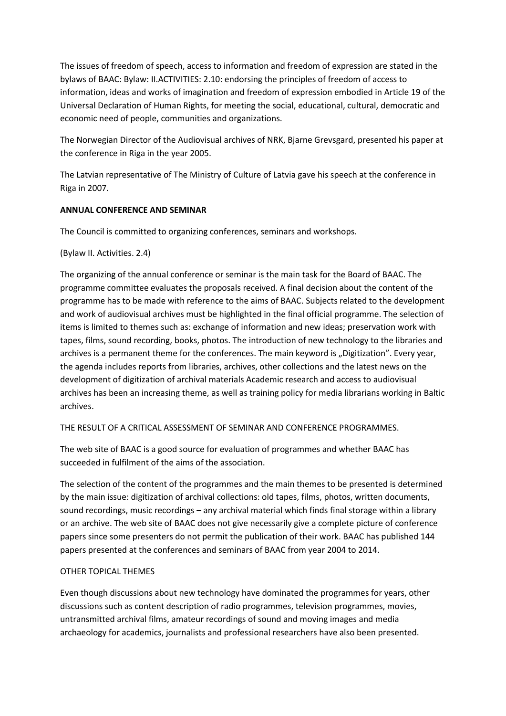The issues of freedom of speech, access to information and freedom of expression are stated in the bylaws of BAAC: Bylaw: II.ACTIVITIES: 2.10: endorsing the principles of freedom of access to information, ideas and works of imagination and freedom of expression embodied in Article 19 of the Universal Declaration of Human Rights, for meeting the social, educational, cultural, democratic and economic need of people, communities and organizations.

The Norwegian Director of the Audiovisual archives of NRK, Bjarne Grevsgard, presented his paper at the conference in Riga in the year 2005.

The Latvian representative of The Ministry of Culture of Latvia gave his speech at the conference in Riga in 2007.

# **ANNUAL CONFERENCE AND SEMINAR**

The Council is committed to organizing conferences, seminars and workshops.

## (Bylaw II. Activities. 2.4)

The organizing of the annual conference or seminar is the main task for the Board of BAAC. The programme committee evaluates the proposals received. A final decision about the content of the programme has to be made with reference to the aims of BAAC. Subjects related to the development and work of audiovisual archives must be highlighted in the final official programme. The selection of items is limited to themes such as: exchange of information and new ideas; preservation work with tapes, films, sound recording, books, photos. The introduction of new technology to the libraries and archives is a permanent theme for the conferences. The main keyword is "Digitization". Every year, the agenda includes reports from libraries, archives, other collections and the latest news on the development of digitization of archival materials Academic research and access to audiovisual archives has been an increasing theme, as well as training policy for media librarians working in Baltic archives.

THE RESULT OF A CRITICAL ASSESSMENT OF SEMINAR AND CONFERENCE PROGRAMMES.

The web site of BAAC is a good source for evaluation of programmes and whether BAAC has succeeded in fulfilment of the aims of the association.

The selection of the content of the programmes and the main themes to be presented is determined by the main issue: digitization of archival collections: old tapes, films, photos, written documents, sound recordings, music recordings – any archival material which finds final storage within a library or an archive. The web site of BAAC does not give necessarily give a complete picture of conference papers since some presenters do not permit the publication of their work. BAAC has published 144 papers presented at the conferences and seminars of BAAC from year 2004 to 2014.

## OTHER TOPICAL THEMES

Even though discussions about new technology have dominated the programmes for years, other discussions such as content description of radio programmes, television programmes, movies, untransmitted archival films, amateur recordings of sound and moving images and media archaeology for academics, journalists and professional researchers have also been presented.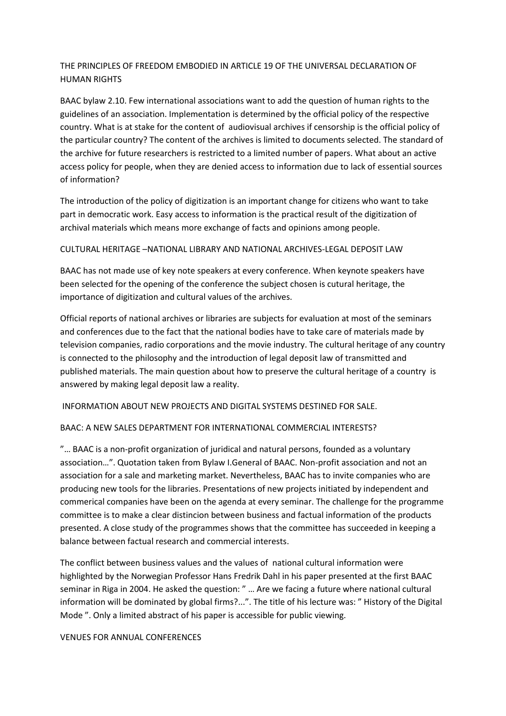# THE PRINCIPLES OF FREEDOM EMBODIED IN ARTICLE 19 OF THE UNIVERSAL DECLARATION OF HUMAN RIGHTS

BAAC bylaw 2.10. Few international associations want to add the question of human rights to the guidelines of an association. Implementation is determined by the official policy of the respective country. What is at stake for the content of audiovisual archives if censorship is the official policy of the particular country? The content of the archives is limited to documents selected. The standard of the archive for future researchers is restricted to a limited number of papers. What about an active access policy for people, when they are denied access to information due to lack of essential sources of information?

The introduction of the policy of digitization is an important change for citizens who want to take part in democratic work. Easy access to information is the practical result of the digitization of archival materials which means more exchange of facts and opinions among people.

## CULTURAL HERITAGE –NATIONAL LIBRARY AND NATIONAL ARCHIVES-LEGAL DEPOSIT LAW

BAAC has not made use of key note speakers at every conference. When keynote speakers have been selected for the opening of the conference the subject chosen is cutural heritage, the importance of digitization and cultural values of the archives.

Official reports of national archives or libraries are subjects for evaluation at most of the seminars and conferences due to the fact that the national bodies have to take care of materials made by television companies, radio corporations and the movie industry. The cultural heritage of any country is connected to the philosophy and the introduction of legal deposit law of transmitted and published materials. The main question about how to preserve the cultural heritage of a country is answered by making legal deposit law a reality.

INFORMATION ABOUT NEW PROJECTS AND DIGITAL SYSTEMS DESTINED FOR SALE.

# BAAC: A NEW SALES DEPARTMENT FOR INTERNATIONAL COMMERCIAL INTERESTS?

"… BAAC is a non-profit organization of juridical and natural persons, founded as a voluntary association…". Quotation taken from Bylaw I.General of BAAC. Non-profit association and not an association for a sale and marketing market. Nevertheless, BAAC has to invite companies who are producing new tools for the libraries. Presentations of new projects initiated by independent and commerical companies have been on the agenda at every seminar. The challenge for the programme committee is to make a clear distincion between business and factual information of the products presented. A close study of the programmes shows that the committee has succeeded in keeping a balance between factual research and commercial interests.

The conflict between business values and the values of national cultural information were highlighted by the Norwegian Professor Hans Fredrik Dahl in his paper presented at the first BAAC seminar in Riga in 2004. He asked the question: " … Are we facing a future where national cultural information will be dominated by global firms?...". The title of his lecture was: " History of the Digital Mode ". Only a limited abstract of his paper is accessible for public viewing.

## VENUES FOR ANNUAL CONFERENCES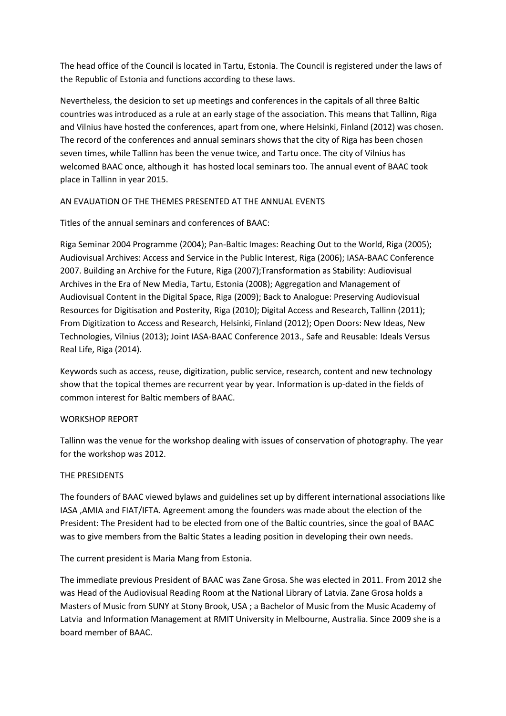The head office of the Council is located in Tartu, Estonia. The Council is registered under the laws of the Republic of Estonia and functions according to these laws.

Nevertheless, the desicion to set up meetings and conferences in the capitals of all three Baltic countries was introduced as a rule at an early stage of the association. This means that Tallinn, Riga and Vilnius have hosted the conferences, apart from one, where Helsinki, Finland (2012) was chosen. The record of the conferences and annual seminars shows that the city of Riga has been chosen seven times, while Tallinn has been the venue twice, and Tartu once. The city of Vilnius has welcomed BAAC once, although it has hosted local seminars too. The annual event of BAAC took place in Tallinn in year 2015.

# AN EVAUATION OF THE THEMES PRESENTED AT THE ANNUAL EVENTS

# Titles of the annual seminars and conferences of BAAC:

Riga Seminar 2004 Programme (2004); Pan-Baltic Images: Reaching Out to the World, Riga (2005); Audiovisual Archives: Access and Service in the Public Interest, Riga (2006); IASA-BAAC Conference 2007. Building an Archive for the Future, Riga (2007);Transformation as Stability: Audiovisual Archives in the Era of New Media, Tartu, Estonia (2008); Aggregation and Management of Audiovisual Content in the Digital Space, Riga (2009); Back to Analogue: Preserving Audiovisual Resources for Digitisation and Posterity, Riga (2010); Digital Access and Research, Tallinn (2011); From Digitization to Access and Research, Helsinki, Finland (2012); Open Doors: New Ideas, New Technologies, Vilnius (2013); Joint IASA-BAAC Conference 2013., Safe and Reusable: Ideals Versus Real Life, Riga (2014).

Keywords such as access, reuse, digitization, public service, research, content and new technology show that the topical themes are recurrent year by year. Information is up-dated in the fields of common interest for Baltic members of BAAC.

# WORKSHOP REPORT

Tallinn was the venue for the workshop dealing with issues of conservation of photography. The year for the workshop was 2012.

# THE PRESIDENTS

The founders of BAAC viewed bylaws and guidelines set up by different international associations like IASA ,AMIA and FIAT/IFTA. Agreement among the founders was made about the election of the President: The President had to be elected from one of the Baltic countries, since the goal of BAAC was to give members from the Baltic States a leading position in developing their own needs.

The current president is Maria Mang from Estonia.

The immediate previous President of BAAC was Zane Grosa. She was elected in 2011. From 2012 she was Head of the Audiovisual Reading Room at the National Library of Latvia. Zane Grosa holds a Masters of Music from SUNY at Stony Brook, USA ; a Bachelor of Music from the Music Academy of Latvia and Information Management at RMIT University in Melbourne, Australia. Since 2009 she is a board member of BAAC.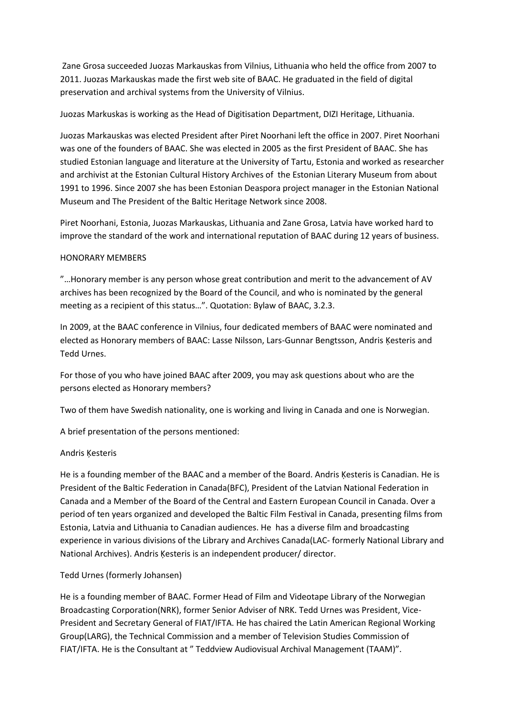Zane Grosa succeeded Juozas Markauskas from Vilnius, Lithuania who held the office from 2007 to 2011. Juozas Markauskas made the first web site of BAAC. He graduated in the field of digital preservation and archival systems from the University of Vilnius.

Juozas Markuskas is working as the Head of Digitisation Department, DIZI Heritage, Lithuania.

Juozas Markauskas was elected President after Piret Noorhani left the office in 2007. Piret Noorhani was one of the founders of BAAC. She was elected in 2005 as the first President of BAAC. She has studied Estonian language and literature at the University of Tartu, Estonia and worked as researcher and archivist at the Estonian Cultural History Archives of the Estonian Literary Museum from about 1991 to 1996. Since 2007 she has been Estonian Deaspora project manager in the Estonian National Museum and The President of the Baltic Heritage Network since 2008.

Piret Noorhani, Estonia, Juozas Markauskas, Lithuania and Zane Grosa, Latvia have worked hard to improve the standard of the work and international reputation of BAAC during 12 years of business.

## HONORARY MEMBERS

"…Honorary member is any person whose great contribution and merit to the advancement of AV archives has been recognized by the Board of the Council, and who is nominated by the general meeting as a recipient of this status…". Quotation: Bylaw of BAAC, 3.2.3.

In 2009, at the BAAC conference in Vilnius, four dedicated members of BAAC were nominated and elected as Honorary members of BAAC: Lasse Nilsson, Lars-Gunnar Bengtsson, Andris Ķesteris and Tedd Urnes.

For those of you who have joined BAAC after 2009, you may ask questions about who are the persons elected as Honorary members?

Two of them have Swedish nationality, one is working and living in Canada and one is Norwegian.

A brief presentation of the persons mentioned:

## Andris Ķesteris

He is a founding member of the BAAC and a member of the Board. Andris Ķesteris is Canadian. He is President of the Baltic Federation in Canada(BFC), President of the Latvian National Federation in Canada and a Member of the Board of the Central and Eastern European Council in Canada. Over a period of ten years organized and developed the Baltic Film Festival in Canada, presenting films from Estonia, Latvia and Lithuania to Canadian audiences. He has a diverse film and broadcasting experience in various divisions of the Library and Archives Canada(LAC- formerly National Library and National Archives). Andris Ķesteris is an independent producer/ director.

## Tedd Urnes (formerly Johansen)

He is a founding member of BAAC. Former Head of Film and Videotape Library of the Norwegian Broadcasting Corporation(NRK), former Senior Adviser of NRK. Tedd Urnes was President, Vice-President and Secretary General of FIAT/IFTA. He has chaired the Latin American Regional Working Group(LARG), the Technical Commission and a member of Television Studies Commission of FIAT/IFTA. He is the Consultant at " Teddview Audiovisual Archival Management (TAAM)".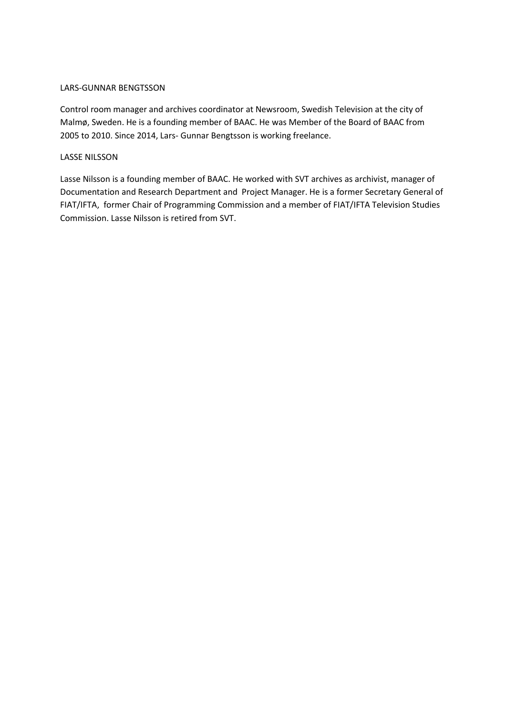## LARS-GUNNAR BENGTSSON

Control room manager and archives coordinator at Newsroom, Swedish Television at the city of Malmø, Sweden. He is a founding member of BAAC. He was Member of the Board of BAAC from 2005 to 2010. Since 2014, Lars- Gunnar Bengtsson is working freelance.

## LASSE NILSSON

Lasse Nilsson is a founding member of BAAC. He worked with SVT archives as archivist, manager of Documentation and Research Department and Project Manager. He is a former Secretary General of FIAT/IFTA, former Chair of Programming Commission and a member of FIAT/IFTA Television Studies Commission. Lasse Nilsson is retired from SVT.